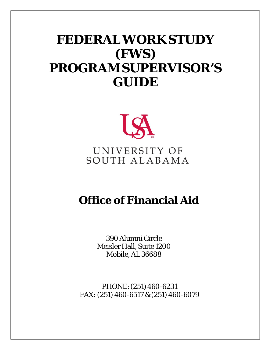# **FEDERAL WORK STUDY (FWS) PROGRAM SUPERVISOR'S GUIDE**



# **Office of Financial Aid**

390Alumni Circle Meisler Hall, Suite 1200 Mobile,AL 36688

PHONE: (251) 460-6231 FAX:(251) 460-6517 & (251) 460-6079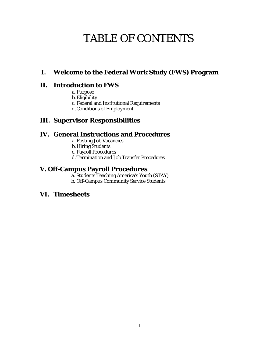## TABLE OF CONTENTS

### **I. Welcome to the Federal Work Study (FWS) Program**

### **II. Introduction to FWS**

- a. Purpose
- b.Eligibility
- c. Federal and Institutional Requirements
- d.Conditions of Employment

### **III. Supervisor Responsibilities**

### **IV. General Instructions and Procedures**

- a. Posting Job Vacancies
- b.Hiring Students
- c. Payroll Procedures
- d.Termination and Job Transfer Procedures

### **V. Off-Campus Payroll Procedures**

- a. Students Teaching America's Youth (STAY)
- b. Off-Campus Community Service Students

### **VI. Timesheets**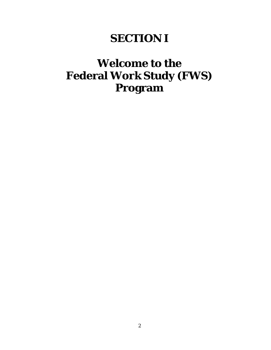## **SECTION I**

## **Welcome to the Federal Work Study (FWS) Program**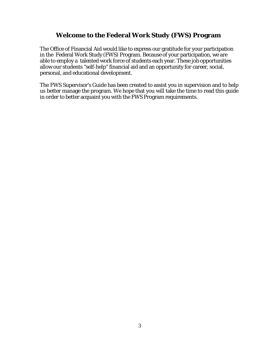### **Welcome to the Federal Work Study (FWS) Program**

The Office of Financial Aid would like to express our gratitude for your participation in the Federal Work Study (FWS) Program. Because of your participation, we are able to employ a talented work force of students each year. These job opportunities allow our students "self-help" financial aid and an opportunity for career, social, personal, and educational development.

The FWS Supervisor's Guide has been created to assist you in supervision and to help us better manage the program. We hope that you will take the time to read this guide in order to better acquaint you with the FWS Program requirements.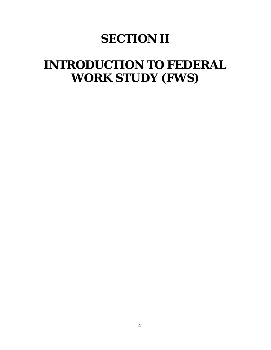# **SECTION II**

# **INTRODUCTION TO FEDERAL WORK STUDY (FWS)**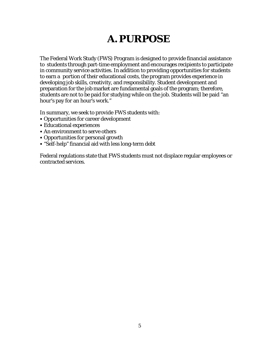## **A.PURPOSE**

The Federal Work Study (FWS) Program is designed to provide financial assistance to students through part-time employment and encourages recipients to participate in community service activities. In addition to providing opportunities for students to earn a portion of their educational costs, the program provides experience in developing job skills, creativity, and responsibility. Student development and preparation for the job market are fundamental goals of the program; therefore, students are not to be paid for studying while on the job. Students will be paid "an hour's pay for an hour's work."

In summary, we seek to provide FWS students with:

- Opportunities for career development
- Educational experiences
- An environment to serve others
- Opportunities for personal growth
- "Self-help" financial aid with less long-term debt

Federal regulations state that FWS students must not displace regular employees or contracted services.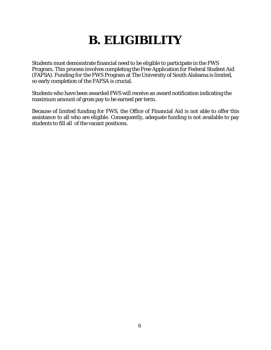# **B. ELIGIBILITY**

Students must demonstrate financial need to be eligible to participate in the FWS Program. This process involves completing the Free Application for Federal Student Aid (FAFSA). Funding for the FWS Program at The University of South Alabama is limited, so early completion of the FAFSA is crucial.

Students who have been awarded FWS will receive an award notification indicating the maximum amount of gross pay to be earned per term.

Because of limited funding for FWS, the Office of Financial Aid is not able to offer this assistance to all who are eligible. Consequently, adequate funding is not available to pay students to fill all of the vacant positions.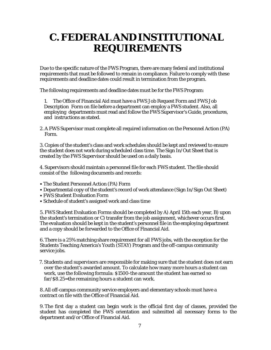## **C. FEDERAL AND INSTITUTIONAL REQUIREMENTS**

Due to the specific nature of the FWS Program, there are many federal and institutional requirements that must be followed to remain in compliance. Failure to comply with these requirements and deadline dates could result in termination from the program.

The following requirements and deadline dates must be for the FWS Program:

1. The Office of Financial Aid must have a FWS Job Request Form and FWS Job Description Form on file before a department can employ a FWS student. Also, all employing departments must read and follow the FWS Supervisor's Guide, procedures, and instructions as stated.

2.A FWS Supervisor must complete all required information on the Personnel Action (PA) Form.

3.Copies of the student's class and work schedules should be kept and reviewed to ensure the student does not work during scheduled class time. The Sign In/Out Sheet that is created by the FWS Supervisor should be used on a daily basis.

4. Supervisors should maintain a personnel file for each FWS student. The file should consist of the following documents and records:

- The Student Personnel Action (PA) Form
- Departmental copy of the student's record of work attendance (Sign In/Sign Out Sheet)
- FWS Student Evaluation Form
- Schedule of student's assigned work and class time

5. FWS Student Evaluation Forms should be completed by A) April 15th each year, B) upon the student's termination or C) transfer from the job assignment, whichever occurs first. The evaluation should be kept in the student's personnel file in the employing department and a copy should be forwarded to the Office of Financial Aid.

6.There is a 25% matching share requirement for all FWS jobs, with the exception for the Students Teaching America's Youth (STAY) Program and the off-campus community service jobs.

7. Students and supervisors are responsible for making sure that the student does not earn over the student's awarded amount. To calculate how many more hours a student can work, use the following formula: \$1500-the amount the student has earned so far/\$8.25=the remaining hours a student can work.

8.All off-campus community service employers and elementary schools must have a contract on file with the Office of Financial Aid.

9.The first day a student can begin work is the official first day of classes, provided the student has completed the FWS orientation and submitted all necessary forms to the department and/or Office of Financial Aid.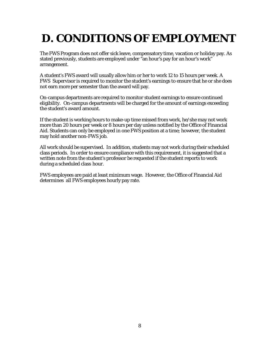# **D. CONDITIONS OF EMPLOYMENT**

The FWS Program does not offer sick leave, compensatory time, vacation or holiday pay. As stated previously, students are employed under "an hour's pay for an hour's work" arrangement.

A student's FWS award will usually allow him or her to work 12 to 15 hours per week. A FWS Supervisor is required to monitor the student's earnings to ensure that he or she does not earn more per semester than the award will pay.

On-campus departments are required to monitor student earnings to ensure continued eligibility. On-campus departments will be charged for the amount of earnings exceeding the student's award amount.

If the student is working hours to make-up time missed from work, he/she may not work more than 20 hours per week or 8 hours per day unless notified by the Office of Financial Aid. Students can only be employed in one FWS position at a time; however, the student may hold another non-FWS job.

All work should be supervised. In addition, students may not work during their scheduled class periods. In order to ensure compliance with this requirement, it is suggested that a written note from the student's professor be requested if the student reports to work during a scheduled class hour.

FWS employees are paid at least minimum wage. However, the Office of Financial Aid determines all FWS employees hourly pay rate.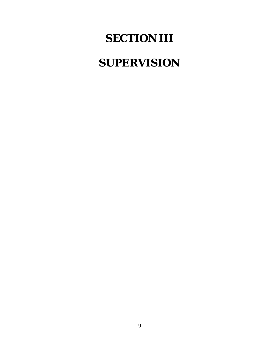# **SECTION III**

# **SUPERVISION**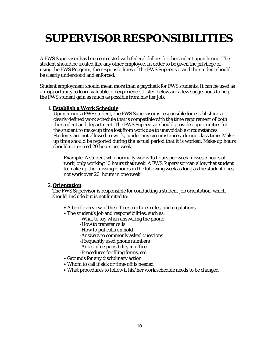# **SUPERVISORRESPONSIBILITIES**

A FWS Supervisor has been entrusted with federal dollars for the student upon hiring. The student should be treated like any other employee. In order to be given the privilege of using the FWS Program, the responsibilities of the FWS Supervisor and the student should be clearly understood and enforced.

Student employment should mean more than a paycheck for FWS students. It can be used as an opportunity to learn valuable job experience. Listed below are a few suggestions to help the FWS student gain as much as possible from his/her job:

#### 1. **Establish a Work Schedule**

Upon hiring a FWS student, the FWS Supervisor is responsible for establishing a clearly defined work schedule that is compatible with the time requirement of both the student and department. The FWS Supervisor should provide opportunities for the student to make up time lost from work due to unavoidable circumstances. Students are not allowed to work, under any circumstances, during class time. Makeup time should be reported during the actual period that it is worked. Make-up hours should not exceed 20 hours per week.

Example: A student who normally works 15 hours per week misses 5 hours of work, only working 10 hours that week. A FWS Supervisor can allow that student to make up the missing 5 hours in the following week as long as the student does not work over 20 hours in one week.

#### 2. **Orientation**

The FWS Supervisor is responsible for conducting a student job orientation, which should include but is not limited to:

- A brief overview of the office structure, rules, and regulations
- The student's job and responsibilities, such as:
	- -What to say when answering the phone
	- -How to transfer calls
	- -How to put calls on hold
	- -Answers to commonly asked questions
	- -Frequently used phone numbers
	- -Areas of responsibility in office
	- -Procedures for filing forms, etc.
- Grounds for any disciplinary action
- Whom to call if sick or time-off is needed
- What procedures to follow if his/her work schedule needs to be changed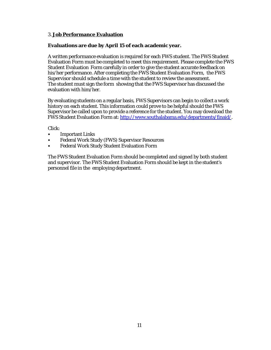#### 3. **Job Performance Evaluation**

#### **Evaluations are due by April 15 of each academic year.**

A written performance evaluation is required for each FWS student. The FWS Student Evaluation Form must be completed to meet this requirement. Please complete the FWS Student Evaluation Form carefully in order to give the student accurate feedback on his/her performance. After completing the FWS Student Evaluation Form, the FWS Supervisor should schedule a time with the student to review the assessment. The student must sign the form showing that the FWS Supervisor has discussed the evaluation with him/her.

By evaluating students on a regular basis, FWS Supervisors can begin to collect a work history on each student. This information could prove to be helpful should the FWS Supervisor be called upon to provide a reference for the student. You may download the FWS Student Evaluation Form at: [http://www.southalabama.edu/departments/finaid/.](http://www.southalabama.edu/departments/finaid/)

Click:

- Important Links
- Federal Work Study (FWS) Supervisor Resources
- Federal Work Study Student Evaluation Form

The FWS Student Evaluation Form should be completed and signed by both student and supervisor. The FWS Student Evaluation Form should be kept in the student's personnel file in the employing department.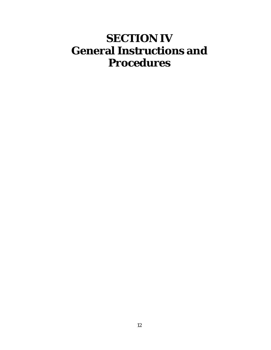# **SECTION IV General Instructions and Procedures**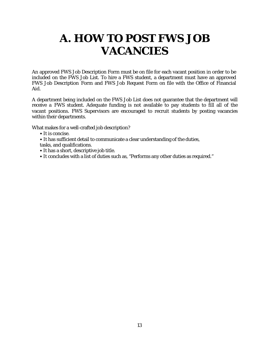# **A. HOW TO POST FWS JOB VACANCIES**

An approved FWS Job Description Form must be on file for each vacant position in order to be included on the FWS Job List. To hire a FWS student, a department must have an approved FWS Job Description Form and FWS Job Request Form on file with the Office of Financial Aid.

A department being included on the FWS Job List does not guarantee that the department will receive a FWS student. Adequate funding is not available to pay students to fill all of the vacant positions. FWS Supervisors are encouraged to recruit students by posting vacancies within their departments.

What makes for a well-crafted job description?

- It is concise.
- It has sufficient detail to communicate a clear understanding of the duties,

tasks, and qualifications.

- It has a short, descriptive job title.
- It concludes with a list of duties such as, "Performs any other duties as required."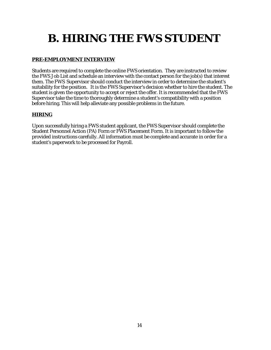# **B. HIRING THE FWS STUDENT**

### **PRE-EMPLOYMENT INTERVIEW**

Students are required to complete the online FWS orientation. They are instructed to review the FWS Job List and schedule an interview with the contact person for the job(s) that interest them. The FWS Supervisor should conduct the interview in order to determine the student's suitability for the position. It is the FWS Supervisor's decision whether to hire the student. The student is given the opportunity to accept or reject the offer. It is recommended that the FWS Supervisor take the time to thoroughly determine a student's compatibility with a position before hiring. This will help alleviate any possible problems in the future.

### **HIRING**

Upon successfully hiring a FWS student applicant, the FWS Supervisor should complete the Student Personnel Action (PA) Form or FWS Placement Form. It is important to follow the provided instructions carefully. All information must be complete and accurate in order for a student's paperwork to be processed for Payroll.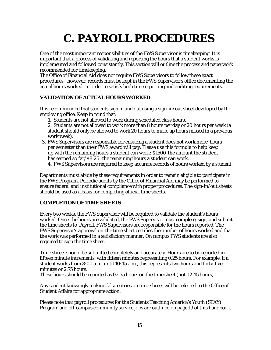# **C. PAYROLL PROCEDURES**

One of the most important responsibilities of the FWS Supervisor is timekeeping. It is important that a process of validating and reporting the hours that a student works is implemented and followed consistently. This section will outline the process and paperwork recommended for timekeeping.

The Office of Financial Aid does not require FWS Supervisors to follow these exact procedures; however, records must be kept in the FWS Supervisor's office documenting the actual hours worked in order to satisfy both time reporting and auditing requirements.

### **VALIDATION OF ACTUAL HOURS WORKED**

It is recommended that students sign in and out using a sign-in/out sheet developed by the employing office. Keep in mind that:

1. Students are not allowed to work during scheduled class hours.

2. Students are not allowed to work more than 8 hours per day or 20 hours per week (a student should only be allowed to work 20 hours to make up hours missed in a previous work week).

3. FWS Supervisors are responsible for ensuring a student does not work more hours per semester than their FWS award will pay. Please use this formula to help keep up with the remaining hours a student can work: \$1500-the amount the student has earned so far/\$8.25=the remaining hours a student can work.

4. FWS Supervisors are required to keep accurate records of hours worked by a student.

Departments must abide by these requirements in order to remain eligible to participate in the FWS Program. Periodic audits by the Office of Financial Aid may be performed to ensure federal and institutional compliance with proper procedures. The sign-in/out sheets should be used as a basis for completing official time sheets.

#### **COMPLETION OF TIME SHEETS**

Every two weeks, the FWS Supervisor will be required to validate the student's hours worked. Once the hours are validated, the FWS Supervisor must complete, sign, and submit the time sheets to Payroll. FWS Supervisors are responsible for the hours reported. The FWS Supervisor's approval on the time sheet certifies the number of hours worked and that the work was performed in a satisfactory manner. On campus FWS students are also required to sign the time sheet.

Time sheets should be submitted completely and accurately. Hours are to be reported in fifteen minute increments, with fifteen minutes representing 0.25 hours. For example, if a student works from 8:00 a.m. until 10:45 a.m., this represents two hours and forty-five minutes or 2.75 hours.

These hours should be reported as 02.75 hours on the time sheet (not 02.45 hours).

Any student knowingly making false entries on time sheets will be referred to the Office of Student Affairs for appropriate action.

Please note that payroll procedures for the Students Teaching America's Youth (STAY) Program and off-campus community service jobs are outlined on page 19 of this handbook.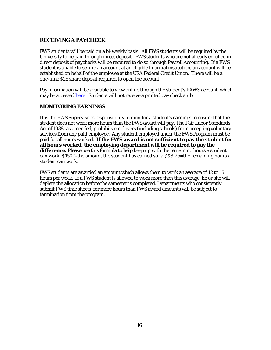#### **RECEIVING A PAYCHECK**

FWS students will be paid on a bi-weekly basis. All FWS students will be required by the University to be paid through direct deposit. FWS students who are not already enrolled in direct deposit of paychecks will be required to do so through Payroll Accounting. If a FWS student is unable to secure an account at an eligible financial institution, an account will be established on behalf of the employee at the USA Federal Credit Union. There will be a one-time \$25 share deposit required to open the account.

Pay information will be available to view online through the student's PAWS account, which may be accessed [here.](https://paws.southalabama.edu/prod/twbkwbis.P_GenMenu?name=homepage) Students will not receive a printed pay check stub.

#### **MONITORING EARNINGS**

It is the FWS Supervisor's responsibility to monitor a student's earnings to ensure that the student does not work more hours than the FWS award will pay. The Fair Labor Standards Act of 1938, as amended, prohibits employers (including schools) from accepting voluntary services from any paid employee. Any student employed under the FWS Program must be paid for all hours worked. **If the FWS award is not sufficient to pay the student for all hours worked, the employing department will be required to pay the difference.** Please use this formula to help keep up with the remaining hours a student can work: \$1500-the amount the student has earned so far/\$8.25=the remaining hours a student can work.

FWS students are awarded an amount which allows them to work an average of 12 to 15 hours per week. If a FWS student is allowed to work more than this average, he or she will deplete the allocation before the semester is completed. Departments who consistently submit FWS time sheets for more hours than FWS award amounts will be subject to termination from the program.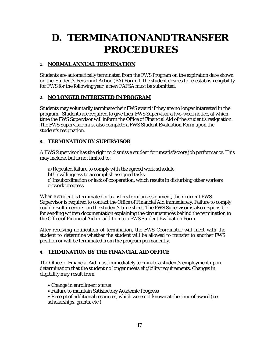## **D. TERMINATIONANDTRANSFER PROCEDURES**

### **1. NORMAL ANNUAL TERMINATION**

Students are automatically terminated from the FWS Program on the expiration date shown on the Student's Personnel Action (PA) Form. If the student desires to re-establish eligibility for FWS for the following year, a new FAFSA must be submitted.

#### **2. NO LONGER INTERESTED IN PROGRAM**

Students may voluntarily terminate their FWS award if they are no longer interested in the program. Students are required to give their FWS Supervisor a two-week notice, at which time the FWS Supervisor will inform the Office of Financial Aid of the student's resignation. The FWS Supervisor must also complete a FWS Student Evaluation Form upon the student's resignation.

#### **3. TERMINATION BY SUPERVISOR**

A FWS Supervisor has the right to dismiss a student for unsatisfactory job performance. This may include, but is not limited to:

a) Repeated failure to comply with the agreed work schedule b)Unwillingness to accomplish assigned tasks c)Insubordination or lack of cooperation, which results in disturbing other workers or work progress

When a student is terminated or transfers from an assignment, their current FWS Supervisor is required to contact the Office of Financial Aid immediately. Failure to comply could result in errors on the student's time sheet. The FWS Supervisor is also responsible for sending written documentation explaining the circumstances behind the termination to the Office of Financial Aid in addition to a FWS Student Evaluation Form.

After receiving notification of termination, the FWS Coordinator will meet with the student to determine whether the student will be allowed to transfer to another FWS position or will be terminated from the program permanently.

#### **4. TERMINATION BY THE FINANCIAL AID OFFICE**

The Office of Financial Aid must immediately terminate a student's employment upon determination that the student no longer meets eligibility requirements. Changes in eligibility may result from:

- Change in enrollment status
- Failure to maintain Satisfactory Academic Progress
- Receipt of additional resources, which were not known at the time of award (i.e. scholarships, grants, etc.)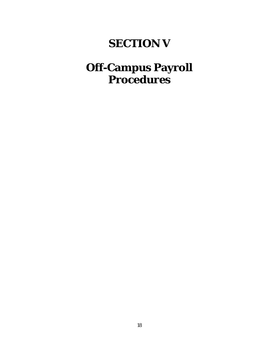## **SECTION V**

## **Off-Campus Payroll Procedures**